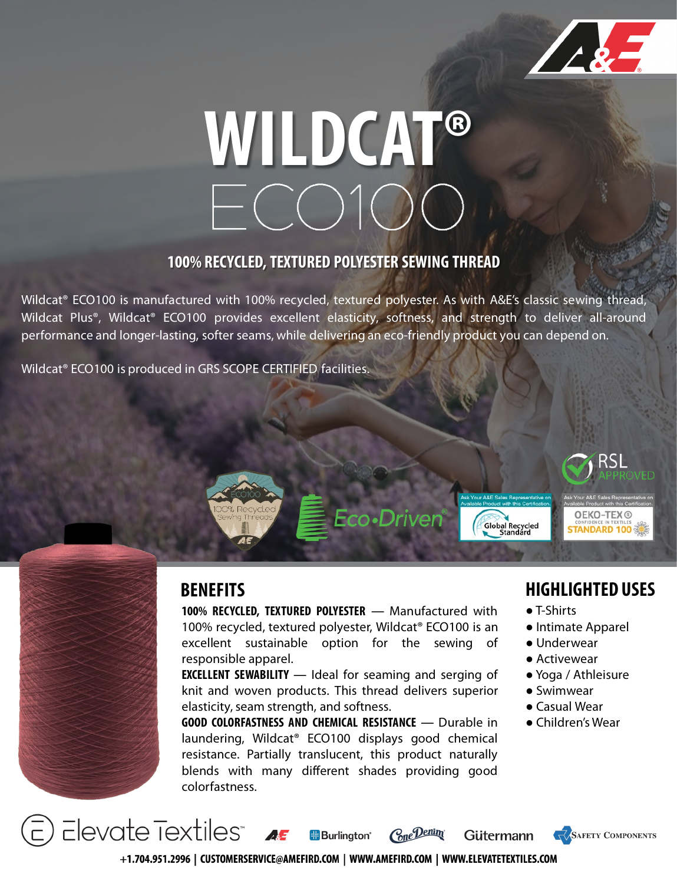

# **WILDCAT®**

#### **100% RECYCLED, TEXTURED POLYESTER SEWING THREAD**

Wildcat® ECO100 is manufactured with 100% recycled, textured polyester. As with A&E's classic sewing thread, Wildcat Plus®, Wildcat® ECO100 provides excellent elasticity, softness, and strength to deliver all-around performance and longer-lasting, softer seams, while delivering an eco-friendly product you can depend on.

Wildcat® ECO100 is produced in GRS SCOPE CERTIFIED facilities.



#### **BENEFITS**

**100% RECYCLED, TEXTURED POLYESTER** ― Manufactured with 100% recycled, textured polyester, Wildcat® ECO100 is an excellent sustainable option for the sewing of responsible apparel.

**EXCELLENT SEWABILITY** ― Ideal for seaming and serging of knit and woven products. This thread delivers superior elasticity, seam strength, and softness.

**GOOD COLORFASTNESS AND CHEMICAL RESISTANCE** ― Durable in laundering, Wildcat® ECO100 displays good chemical resistance. Partially translucent, this product naturally blends with many different shades providing good colorfastness.

#### **HIGHLIGHTED USES**

- T-Shirts
- Intimate Apparel
- Underwear
- Activewear
- Yoga / Athleisure
- Swimwear
- Casual Wear
- Children's Wear

 $\overline{\phantom{a}}$  Elevate Textiles"  $\overline{\phantom{a}}$ Cone Denim **H**Burlinaton<sup>®</sup> **Gütermann SAFETY COMPONENTS** +1.704.951.2996 | CUSTOMERSERVICE@AMEFIRD.COM | WWW.AMEFIRD.COM | WWW.ELEVATETEXTILES.COM